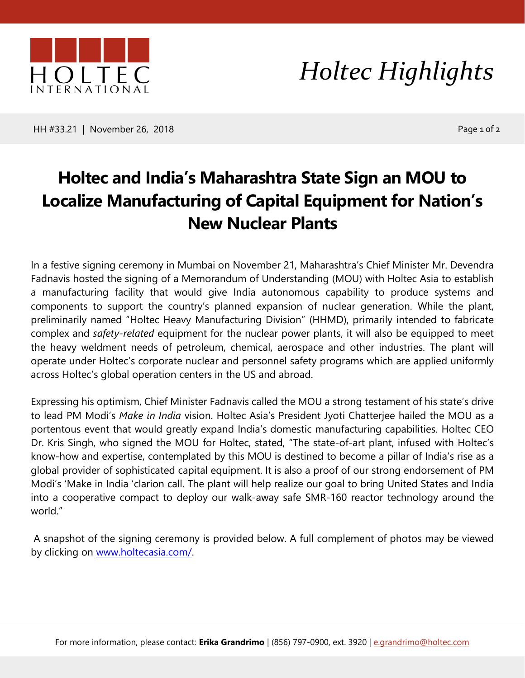

*Holtec Highlights*

HH #33.21 | November 26, 2018 | 2008 | 2009 | 2009 | 2010 | 2010 | 2010 | 2010 | 2010 | 2010 | 2010 | 2010 | 2

## **Holtec and India's Maharashtra State Sign an MOU to Localize Manufacturing of Capital Equipment for Nation's New Nuclear Plants**

In a festive signing ceremony in Mumbai on November 21, Maharashtra's Chief Minister Mr. Devendra Fadnavis hosted the signing of a Memorandum of Understanding (MOU) with Holtec Asia to establish a manufacturing facility that would give India autonomous capability to produce systems and components to support the country's planned expansion of nuclear generation. While the plant, preliminarily named "Holtec Heavy Manufacturing Division" (HHMD), primarily intended to fabricate complex and *safety-related* equipment for the nuclear power plants, it will also be equipped to meet the heavy weldment needs of petroleum, chemical, aerospace and other industries. The plant will operate under Holtec's corporate nuclear and personnel safety programs which are applied uniformly across Holtec's global operation centers in the US and abroad.

Expressing his optimism, Chief Minister Fadnavis called the MOU a strong testament of his state's drive to lead PM Modi's *Make in India* vision. Holtec Asia's President Jyoti Chatterjee hailed the MOU as a portentous event that would greatly expand India's domestic manufacturing capabilities. Holtec CEO Dr. Kris Singh, who signed the MOU for Holtec, stated, "The state-of-art plant, infused with Holtec's know-how and expertise, contemplated by this MOU is destined to become a pillar of India's rise as a global provider of sophisticated capital equipment. It is also a proof of our strong endorsement of PM Modi's 'Make in India 'clarion call. The plant will help realize our goal to bring United States and India into a cooperative compact to deploy our walk-away safe SMR-160 reactor technology around the world."

A snapshot of the signing ceremony is provided below. A full complement of photos may be viewed by clicking on [www.holtecasia.com/.](http://www.holtecasia.com/)